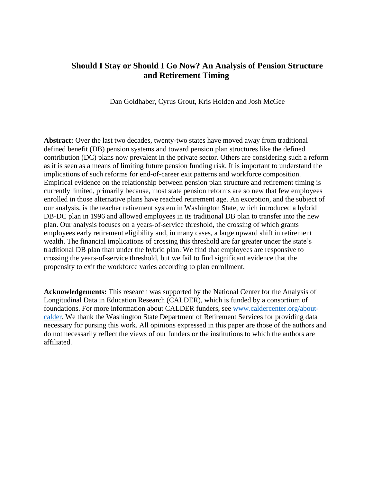# **Should I Stay or Should I Go Now? An Analysis of Pension Structure and Retirement Timing**

Dan Goldhaber, Cyrus Grout, Kris Holden and Josh McGee

**Abstract:** Over the last two decades, twenty-two states have moved away from traditional defined benefit (DB) pension systems and toward pension plan structures like the defined contribution (DC) plans now prevalent in the private sector. Others are considering such a reform as it is seen as a means of limiting future pension funding risk. It is important to understand the implications of such reforms for end-of-career exit patterns and workforce composition. Empirical evidence on the relationship between pension plan structure and retirement timing is currently limited, primarily because, most state pension reforms are so new that few employees enrolled in those alternative plans have reached retirement age. An exception, and the subject of our analysis, is the teacher retirement system in Washington State, which introduced a hybrid DB-DC plan in 1996 and allowed employees in its traditional DB plan to transfer into the new plan. Our analysis focuses on a years-of-service threshold, the crossing of which grants employees early retirement eligibility and, in many cases, a large upward shift in retirement wealth. The financial implications of crossing this threshold are far greater under the state's traditional DB plan than under the hybrid plan. We find that employees are responsive to crossing the years-of-service threshold, but we fail to find significant evidence that the propensity to exit the workforce varies according to plan enrollment.

**Acknowledgements:** This research was supported by the National Center for the Analysis of Longitudinal Data in Education Research (CALDER), which is funded by a consortium of foundations. For more information about CALDER funders, see [www.caldercenter.org/about](http://www.caldercenter.org/about-calder)[calder.](http://www.caldercenter.org/about-calder) We thank the Washington State Department of Retirement Services for providing data necessary for pursing this work. All opinions expressed in this paper are those of the authors and do not necessarily reflect the views of our funders or the institutions to which the authors are affiliated.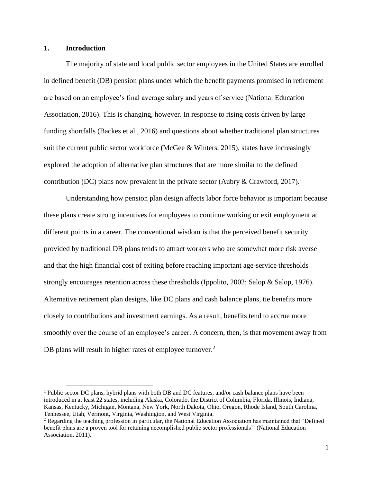# **1. Introduction**

The majority of state and local public sector employees in the United States are enrolled in defined benefit (DB) pension plans under which the benefit payments promised in retirement are based on an employee's final average salary and years of service (National Education Association, 2016). This is changing, however. In response to rising costs driven by large funding shortfalls (Backes et al., 2016) and questions about whether traditional plan structures suit the current public sector workforce (McGee & Winters, 2015), states have increasingly explored the adoption of alternative plan structures that are more similar to the defined contribution (DC) plans now prevalent in the private sector (Aubry & Crawford, 2017).<sup>1</sup>

Understanding how pension plan design affects labor force behavior is important because these plans create strong incentives for employees to continue working or exit employment at different points in a career. The conventional wisdom is that the perceived benefit security provided by traditional DB plans tends to attract workers who are somewhat more risk averse and that the high financial cost of exiting before reaching important age-service thresholds strongly encourages retention across these thresholds (Ippolito, 2002; Salop & Salop, 1976). Alternative retirement plan designs, like DC plans and cash balance plans, tie benefits more closely to contributions and investment earnings. As a result, benefits tend to accrue more smoothly over the course of an employee's career. A concern, then, is that movement away from DB plans will result in higher rates of employee turnover.<sup>2</sup>

<sup>1</sup> Public sector DC plans, hybrid plans with both DB and DC features, and/or cash balance plans have been introduced in at least 22 states, including Alaska, Colorado, the District of Columbia, Florida, Illinois, Indiana, Kansas, Kentucky, Michigan, Montana, New York, North Dakota, Ohio, Oregon, Rhode Island, South Carolina, Tennessee, Utah, Vermont, Virginia, Washington, and West Virginia.

<sup>2</sup> Regarding the teaching profession in particular, the National Education Association has maintained that "Defined benefit plans are a proven tool for retaining accomplished public sector professionals'' (National Education Association, 2011).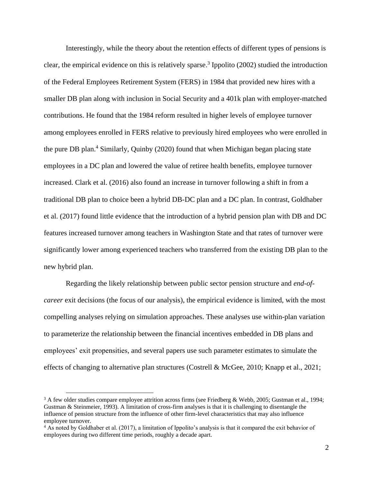Interestingly, while the theory about the retention effects of different types of pensions is clear, the empirical evidence on this is relatively sparse. 3 Ippolito (2002) studied the introduction of the Federal Employees Retirement System (FERS) in 1984 that provided new hires with a smaller DB plan along with inclusion in Social Security and a 401k plan with employer-matched contributions. He found that the 1984 reform resulted in higher levels of employee turnover among employees enrolled in FERS relative to previously hired employees who were enrolled in the pure DB plan. <sup>4</sup> Similarly, Quinby (2020) found that when Michigan began placing state employees in a DC plan and lowered the value of retiree health benefits, employee turnover increased. Clark et al. (2016) also found an increase in turnover following a shift in from a traditional DB plan to choice been a hybrid DB-DC plan and a DC plan. In contrast, Goldhaber et al. (2017) found little evidence that the introduction of a hybrid pension plan with DB and DC features increased turnover among teachers in Washington State and that rates of turnover were significantly lower among experienced teachers who transferred from the existing DB plan to the new hybrid plan.

Regarding the likely relationship between public sector pension structure and *end-ofcareer* exit decisions (the focus of our analysis), the empirical evidence is limited, with the most compelling analyses relying on simulation approaches. These analyses use within-plan variation to parameterize the relationship between the financial incentives embedded in DB plans and employees' exit propensities, and several papers use such parameter estimates to simulate the effects of changing to alternative plan structures (Costrell & McGee, 2010; Knapp et al., 2021;

<sup>&</sup>lt;sup>3</sup> A few older studies compare employee attrition across firms (see Friedberg & Webb, 2005; Gustman et al., 1994; Gustman & Steinmeier, 1993). A limitation of cross-firm analyses is that it is challenging to disentangle the influence of pension structure from the influence of other firm-level characteristics that may also influence employee turnover.

<sup>4</sup> As noted by Goldhaber et al. (2017), a limitation of Ippolito's analysis is that it compared the exit behavior of employees during two different time periods, roughly a decade apart.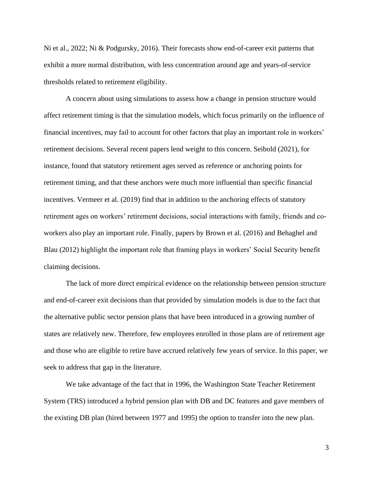Ni et al., 2022; Ni & Podgursky, 2016). Their forecasts show end-of-career exit patterns that exhibit a more normal distribution, with less concentration around age and years-of-service thresholds related to retirement eligibility.

A concern about using simulations to assess how a change in pension structure would affect retirement timing is that the simulation models, which focus primarily on the influence of financial incentives, may fail to account for other factors that play an important role in workers' retirement decisions. Several recent papers lend weight to this concern. Seibold (2021), for instance, found that statutory retirement ages served as reference or anchoring points for retirement timing, and that these anchors were much more influential than specific financial incentives. Vermeer et al. (2019) find that in addition to the anchoring effects of statutory retirement ages on workers' retirement decisions, social interactions with family, friends and coworkers also play an important role. Finally, papers by Brown et al. (2016) and Behaghel and Blau (2012) highlight the important role that framing plays in workers' Social Security benefit claiming decisions.

The lack of more direct empirical evidence on the relationship between pension structure and end-of-career exit decisions than that provided by simulation models is due to the fact that the alternative public sector pension plans that have been introduced in a growing number of states are relatively new. Therefore, few employees enrolled in those plans are of retirement age and those who are eligible to retire have accrued relatively few years of service. In this paper, we seek to address that gap in the literature.

We take advantage of the fact that in 1996, the Washington State Teacher Retirement System (TRS) introduced a hybrid pension plan with DB and DC features and gave members of the existing DB plan (hired between 1977 and 1995) the option to transfer into the new plan.

3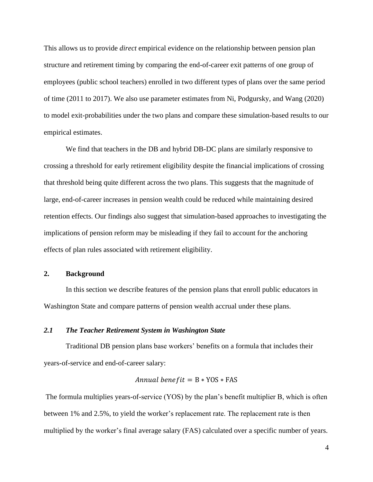This allows us to provide *direct* empirical evidence on the relationship between pension plan structure and retirement timing by comparing the end-of-career exit patterns of one group of employees (public school teachers) enrolled in two different types of plans over the same period of time (2011 to 2017). We also use parameter estimates from Ni, Podgursky, and Wang (2020) to model exit-probabilities under the two plans and compare these simulation-based results to our empirical estimates.

We find that teachers in the DB and hybrid DB-DC plans are similarly responsive to crossing a threshold for early retirement eligibility despite the financial implications of crossing that threshold being quite different across the two plans. This suggests that the magnitude of large, end-of-career increases in pension wealth could be reduced while maintaining desired retention effects. Our findings also suggest that simulation-based approaches to investigating the implications of pension reform may be misleading if they fail to account for the anchoring effects of plan rules associated with retirement eligibility.

#### **2. Background**

In this section we describe features of the pension plans that enroll public educators in Washington State and compare patterns of pension wealth accrual under these plans.

#### *2.1 The Teacher Retirement System in Washington State*

Traditional DB pension plans base workers' benefits on a formula that includes their years-of-service and end-of-career salary:

*Annual benefit* = 
$$
B * YOS * FAS
$$

The formula multiplies years-of-service (YOS) by the plan's benefit multiplier B, which is often between 1% and 2.5%, to yield the worker's replacement rate. The replacement rate is then multiplied by the worker's final average salary (FAS) calculated over a specific number of years.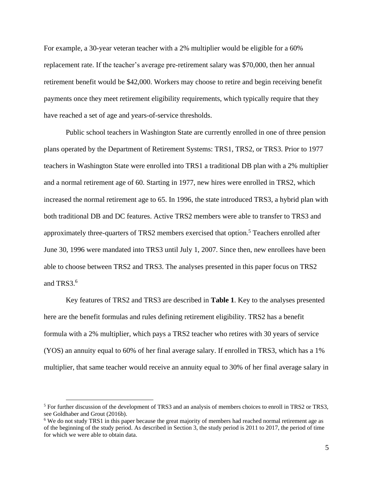For example, a 30-year veteran teacher with a 2% multiplier would be eligible for a 60% replacement rate. If the teacher's average pre-retirement salary was \$70,000, then her annual retirement benefit would be \$42,000. Workers may choose to retire and begin receiving benefit payments once they meet retirement eligibility requirements, which typically require that they have reached a set of age and years-of-service thresholds.

Public school teachers in Washington State are currently enrolled in one of three pension plans operated by the Department of Retirement Systems: TRS1, TRS2, or TRS3. Prior to 1977 teachers in Washington State were enrolled into TRS1 a traditional DB plan with a 2% multiplier and a normal retirement age of 60. Starting in 1977, new hires were enrolled in TRS2, which increased the normal retirement age to 65. In 1996, the state introduced TRS3, a hybrid plan with both traditional DB and DC features. Active TRS2 members were able to transfer to TRS3 and approximately three-quarters of TRS2 members exercised that option.<sup>5</sup> Teachers enrolled after June 30, 1996 were mandated into TRS3 until July 1, 2007. Since then, new enrollees have been able to choose between TRS2 and TRS3. The analyses presented in this paper focus on TRS2 and TRS3. $<sup>6</sup>$ </sup>

Key features of TRS2 and TRS3 are described in **Table 1**. Key to the analyses presented here are the benefit formulas and rules defining retirement eligibility. TRS2 has a benefit formula with a 2% multiplier, which pays a TRS2 teacher who retires with 30 years of service (YOS) an annuity equal to 60% of her final average salary. If enrolled in TRS3, which has a 1% multiplier, that same teacher would receive an annuity equal to 30% of her final average salary in

<sup>&</sup>lt;sup>5</sup> For further discussion of the development of TRS3 and an analysis of members choices to enroll in TRS2 or TRS3, see Goldhaber and Grout (2016b).

<sup>6</sup> We do not study TRS1 in this paper because the great majority of members had reached normal retirement age as of the beginning of the study period. As described in Section 3, the study period is 2011 to 2017, the period of time for which we were able to obtain data.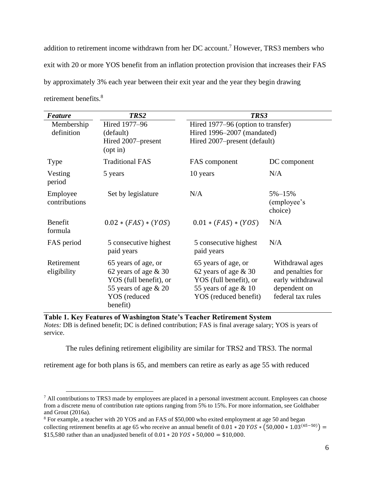addition to retirement income withdrawn from her DC account. <sup>7</sup> However, TRS3 members who exit with 20 or more YOS benefit from an inflation protection provision that increases their FAS by approximately 3% each year between their exit year and the year they begin drawing retirement benefits.<sup>8</sup>

| <b>Feature</b>            | TRS2                                                                                                                          | TRS3                                                                                                                       |                                                                                               |
|---------------------------|-------------------------------------------------------------------------------------------------------------------------------|----------------------------------------------------------------------------------------------------------------------------|-----------------------------------------------------------------------------------------------|
| Membership<br>definition  | Hired 1977-96<br>(default)                                                                                                    | Hired 1977-96 (option to transfer)<br>Hired 1996–2007 (mandated)                                                           |                                                                                               |
|                           | Hired 2007–present<br>$($ opt in $)$                                                                                          | Hired 2007–present (default)                                                                                               |                                                                                               |
| <b>Type</b>               | <b>Traditional FAS</b>                                                                                                        | FAS component                                                                                                              | DC component                                                                                  |
| Vesting<br>period         | 5 years                                                                                                                       | 10 years                                                                                                                   | N/A                                                                                           |
| Employee<br>contributions | Set by legislature                                                                                                            | N/A                                                                                                                        | $5\% - 15\%$<br>(employee's<br>choice)                                                        |
| Benefit<br>formula        | $0.02 * (FAS) * (YOS)$                                                                                                        | $0.01 * (FAS) * (YOS)$                                                                                                     | N/A                                                                                           |
| FAS period                | 5 consecutive highest<br>paid years                                                                                           | 5 consecutive highest<br>paid years                                                                                        | N/A                                                                                           |
| Retirement<br>eligibility | 65 years of age, or<br>62 years of age $& 30$<br>YOS (full benefit), or<br>55 years of age $& 20$<br>YOS (reduced<br>benefit) | 65 years of age, or<br>62 years of age $& 30$<br>YOS (full benefit), or<br>55 years of age $& 10$<br>YOS (reduced benefit) | Withdrawal ages<br>and penalties for<br>early withdrawal<br>dependent on<br>federal tax rules |



*Notes: DB* is defined benefit; DC is defined contribution; FAS is final average salary; YOS is years of service.

The rules defining retirement eligibility are similar for TRS2 and TRS3. The normal

retirement age for both plans is 65, and members can retire as early as age 55 with reduced

<sup>&</sup>lt;sup>7</sup> All contributions to TRS3 made by employees are placed in a personal investment account. Employees can choose from a discrete menu of contribution rate options ranging from 5% to 15%. For more information, see Goldhaber and Grout (2016a).

<sup>8</sup> For example, a teacher with 20 YOS and an FAS of \$50,000 who exited employment at age 50 and began collecting retirement benefits at age 65 who receive an annual benefit of  $0.01 * 20 YOS * (50,000 * 1.03^{(65-50)}) =$ \$15,580 rather than an unadjusted benefit of  $0.01 * 20 YOS * 50,000 = $10,000$ .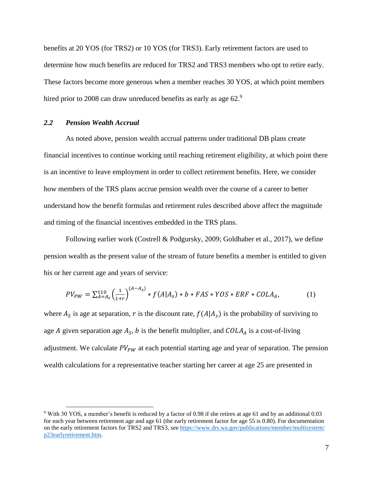benefits at 20 YOS (for TRS2) or 10 YOS (for TRS3). Early retirement factors are used to determine how much benefits are reduced for TRS2 and TRS3 members who opt to retire early. These factors become more generous when a member reaches 30 YOS, at which point members hired prior to 2008 can draw unreduced benefits as early as age 62.9

#### *2.2 Pension Wealth Accrual*

As noted above, pension wealth accrual patterns under traditional DB plans create financial incentives to continue working until reaching retirement eligibility, at which point there is an incentive to leave employment in order to collect retirement benefits. Here, we consider how members of the TRS plans accrue pension wealth over the course of a career to better understand how the benefit formulas and retirement rules described above affect the magnitude and timing of the financial incentives embedded in the TRS plans.

Following earlier work (Costrell & Podgursky, 2009; Goldhaber et al., 2017), we define pension wealth as the present value of the stream of future benefits a member is entitled to given his or her current age and years of service:

$$
PV_{PW} = \sum_{A=A_S}^{110} \left(\frac{1}{1+r}\right)^{(A-A_S)} * f(A|A_S) * b * FAS * YOS * ERF * COLA_A,
$$
 (1)

where  $A_s$  is age at separation, r is the discount rate,  $f(A|A_s)$  is the probability of surviving to age A given separation age  $A_s$ , b is the benefit multiplier, and  $COLA_A$  is a cost-of-living adjustment. We calculate  $PV_{PW}$  at each potential starting age and year of separation. The pension wealth calculations for a representative teacher starting her career at age 25 are presented in

<sup>9</sup> With 30 YOS, a member's benefit is reduced by a factor of 0.98 if she retires at age 61 and by an additional 0.03 for each year between retirement age and age 61 (the early retirement factor for age 55 is 0.80). For documentation on the early retirement factors for TRS2 and TRS3, se[e https://www.drs.wa.gov/publications/member/multisystem/](https://www.drs.wa.gov/‌publications/‌member/‌multisystem/‌p23earlyretirement.htm) [p23earlyretirement.htm.](https://www.drs.wa.gov/‌publications/‌member/‌multisystem/‌p23earlyretirement.htm)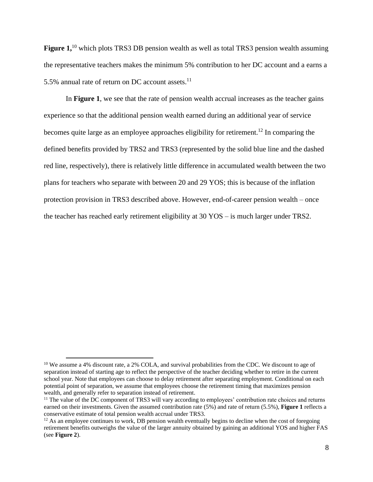Figure 1,<sup>10</sup> which plots TRS3 DB pension wealth as well as total TRS3 pension wealth assuming the representative teachers makes the minimum 5% contribution to her DC account and a earns a 5.5% annual rate of return on DC account assets. 11

In **Figure 1**, we see that the rate of pension wealth accrual increases as the teacher gains experience so that the additional pension wealth earned during an additional year of service becomes quite large as an employee approaches eligibility for retirement.<sup>12</sup> In comparing the defined benefits provided by TRS2 and TRS3 (represented by the solid blue line and the dashed red line, respectively), there is relatively little difference in accumulated wealth between the two plans for teachers who separate with between 20 and 29 YOS; this is because of the inflation protection provision in TRS3 described above. However, end-of-career pension wealth – once the teacher has reached early retirement eligibility at 30 YOS – is much larger under TRS2.

<sup>&</sup>lt;sup>10</sup> We assume a 4% discount rate, a 2% COLA, and survival probabilities from the CDC. We discount to age of separation instead of starting age to reflect the perspective of the teacher deciding whether to retire in the current school year. Note that employees can choose to delay retirement after separating employment. Conditional on each potential point of separation, we assume that employees choose the retirement timing that maximizes pension wealth, and generally refer to separation instead of retirement.

<sup>&</sup>lt;sup>11</sup> The value of the DC component of TRS3 will vary according to employees' contribution rate choices and returns earned on their investments. Given the assumed contribution rate (5%) and rate of return (5.5%), **Figure 1** reflects a conservative estimate of total pension wealth accrual under TRS3.

 $12$  As an employee continues to work, DB pension wealth eventually begins to decline when the cost of foregoing retirement benefits outweighs the value of the larger annuity obtained by gaining an additional YOS and higher FAS (see **Figure 2**).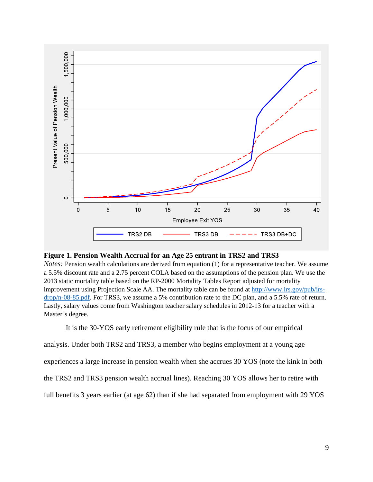

#### **Figure 1. Pension Wealth Accrual for an Age 25 entrant in TRS2 and TRS3**

*Notes:* Pension wealth calculations are derived from equation (1) for a representative teacher. We assume a 5.5% discount rate and a 2.75 percent COLA based on the assumptions of the pension plan. We use the 2013 static mortality table based on the RP-2000 Mortality Tables Report adjusted for mortality improvement using Projection Scale AA. The mortality table can be found at [http://www.irs.gov/pub/irs](http://www.irs.gov/pub/irs-drop/n-08-85.pdf)[drop/n-08-85.pdf.](http://www.irs.gov/pub/irs-drop/n-08-85.pdf) For TRS3, we assume a 5% contribution rate to the DC plan, and a 5.5% rate of return. Lastly, salary values come from Washington teacher salary schedules in 2012-13 for a teacher with a Master's degree.

It is the 30-YOS early retirement eligibility rule that is the focus of our empirical

analysis. Under both TRS2 and TRS3, a member who begins employment at a young age

experiences a large increase in pension wealth when she accrues 30 YOS (note the kink in both

the TRS2 and TRS3 pension wealth accrual lines). Reaching 30 YOS allows her to retire with

full benefits 3 years earlier (at age 62) than if she had separated from employment with 29 YOS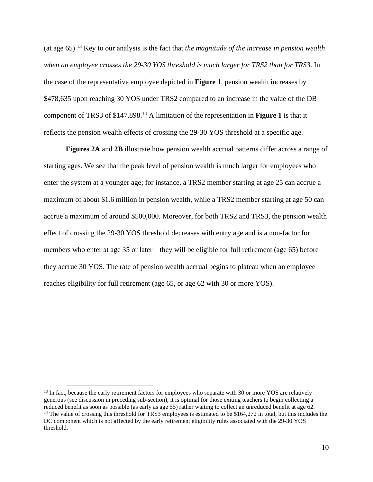(at age 65).<sup>13</sup> Key to our analysis is the fact that *the magnitude of the increase in pension wealth when an employee crosses the 29-30 YOS threshold is much larger for TRS2 than for TRS3*. In the case of the representative employee depicted in **Figure 1**, pension wealth increases by \$478,635 upon reaching 30 YOS under TRS2 compared to an increase in the value of the DB component of TRS3 of \$147,898. <sup>14</sup> A limitation of the representation in **Figure 1** is that it reflects the pension wealth effects of crossing the 29-30 YOS threshold at a specific age.

**Figures 2A** and **2B** illustrate how pension wealth accrual patterns differ across a range of starting ages. We see that the peak level of pension wealth is much larger for employees who enter the system at a younger age; for instance, a TRS2 member starting at age 25 can accrue a maximum of about \$1.6 million in pension wealth, while a TRS2 member starting at age 50 can accrue a maximum of around \$500,000. Moreover, for both TRS2 and TRS3, the pension wealth effect of crossing the 29-30 YOS threshold decreases with entry age and is a non-factor for members who enter at age 35 or later – they will be eligible for full retirement (age 65) before they accrue 30 YOS. The rate of pension wealth accrual begins to plateau when an employee reaches eligibility for full retirement (age 65, or age 62 with 30 or more YOS).

<sup>&</sup>lt;sup>13</sup> In fact, because the early retirement factors for employees who separate with 30 or more YOS are relatively generous (see discussion in preceding sub-section), it is optimal for those exiting teachers to begin collecting a reduced benefit as soon as possible (as early as age 55) rather waiting to collect an unreduced benefit at age 62. <sup>14</sup> The value of crossing this threshold for TRS3 employees is estimated to be \$164,272 in total, but this includes the DC component which is not affected by the early retirement eligibility rules associated with the 29-30 YOS threshold.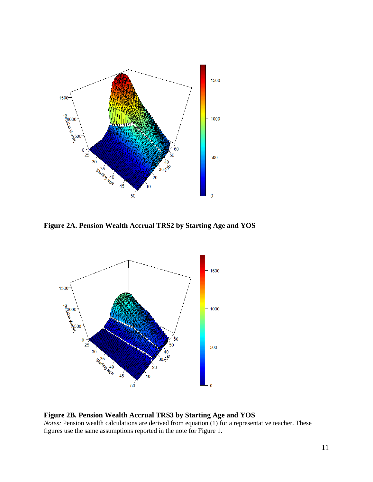

**Figure 2A. Pension Wealth Accrual TRS2 by Starting Age and YOS**



# **Figure 2B. Pension Wealth Accrual TRS3 by Starting Age and YOS**

*Notes:* Pension wealth calculations are derived from equation (1) for a representative teacher. These figures use the same assumptions reported in the note for Figure 1.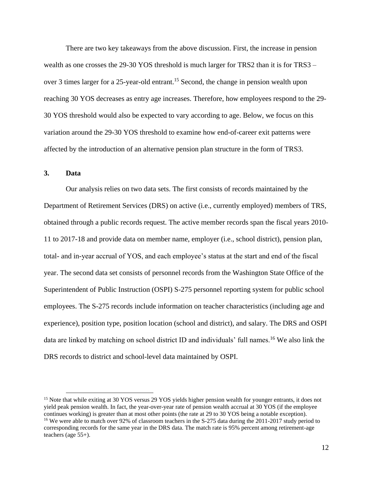There are two key takeaways from the above discussion. First, the increase in pension wealth as one crosses the 29-30 YOS threshold is much larger for TRS2 than it is for TRS3 – over 3 times larger for a 25-year-old entrant. <sup>15</sup> Second, the change in pension wealth upon reaching 30 YOS decreases as entry age increases. Therefore, how employees respond to the 29- 30 YOS threshold would also be expected to vary according to age. Below, we focus on this variation around the 29-30 YOS threshold to examine how end-of-career exit patterns were affected by the introduction of an alternative pension plan structure in the form of TRS3.

# **3. Data**

Our analysis relies on two data sets. The first consists of records maintained by the Department of Retirement Services (DRS) on active (i.e., currently employed) members of TRS, obtained through a public records request. The active member records span the fiscal years 2010- 11 to 2017-18 and provide data on member name, employer (i.e., school district), pension plan, total- and in-year accrual of YOS, and each employee's status at the start and end of the fiscal year. The second data set consists of personnel records from the Washington State Office of the Superintendent of Public Instruction (OSPI) S-275 personnel reporting system for public school employees. The S-275 records include information on teacher characteristics (including age and experience), position type, position location (school and district), and salary. The DRS and OSPI data are linked by matching on school district ID and individuals' full names.<sup>16</sup> We also link the DRS records to district and school-level data maintained by OSPI.

<sup>&</sup>lt;sup>15</sup> Note that while exiting at 30 YOS versus 29 YOS yields higher pension wealth for younger entrants, it does not yield peak pension wealth. In fact, the year-over-year rate of pension wealth accrual at 30 YOS (if the employee continues working) is greater than at most other points (the rate at 29 to 30 YOS being a notable exception). <sup>16</sup> We were able to match over 92% of classroom teachers in the S-275 data during the 2011-2017 study period to corresponding records for the same year in the DRS data. The match rate is 95% percent among retirement-age teachers (age 55+).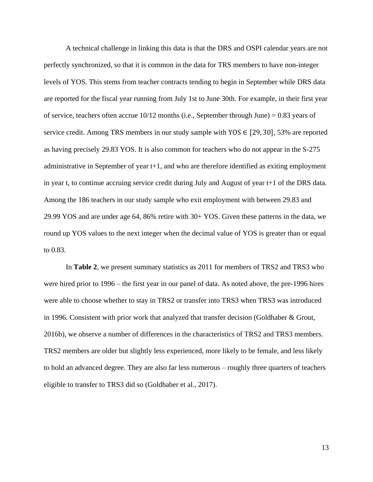A technical challenge in linking this data is that the DRS and OSPI calendar years are not perfectly synchronized, so that it is common in the data for TRS members to have non-integer levels of YOS. This stems from teacher contracts tending to begin in September while DRS data are reported for the fiscal year running from July 1st to June 30th. For example, in their first year of service, teachers often accrue  $10/12$  months (i.e., September through June) = 0.83 years of service credit. Among TRS members in our study sample with YOS  $\in$  [29, 30], 53% are reported as having precisely 29.83 YOS. It is also common for teachers who do not appear in the S-275 administrative in September of year t+1, and who are therefore identified as exiting employment in year t, to continue accruing service credit during July and August of year t+1 of the DRS data. Among the 186 teachers in our study sample who exit employment with between 29.83 and 29.99 YOS and are under age 64, 86% retire with 30+ YOS. Given these patterns in the data, we round up YOS values to the next integer when the decimal value of YOS is greater than or equal to 0.83.

In **Table 2**, we present summary statistics as 2011 for members of TRS2 and TRS3 who were hired prior to 1996 – the first year in our panel of data. As noted above, the pre-1996 hires were able to choose whether to stay in TRS2 or transfer into TRS3 when TRS3 was introduced in 1996. Consistent with prior work that analyzed that transfer decision (Goldhaber & Grout, 2016b), we observe a number of differences in the characteristics of TRS2 and TRS3 members. TRS2 members are older but slightly less experienced, more likely to be female, and less likely to hold an advanced degree. They are also far less numerous – roughly three quarters of teachers eligible to transfer to TRS3 did so (Goldhaber et al., 2017).

13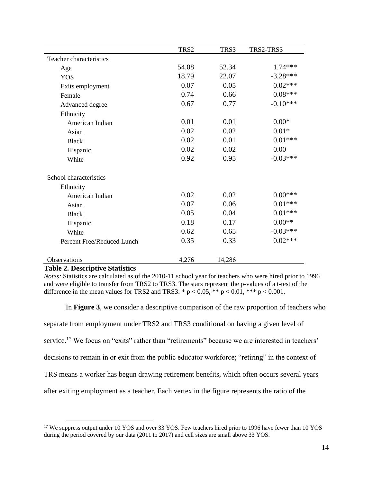|                            | TRS2  | TRS3   | TRS2-TRS3  |
|----------------------------|-------|--------|------------|
| Teacher characteristics    |       |        |            |
| Age                        | 54.08 | 52.34  | 1.74 ***   |
| <b>YOS</b>                 | 18.79 | 22.07  | $-3.28***$ |
| Exits employment           | 0.07  | 0.05   | $0.02***$  |
| Female                     | 0.74  | 0.66   | $0.08***$  |
| Advanced degree            | 0.67  | 0.77   | $-0.10***$ |
| Ethnicity                  |       |        |            |
| American Indian            | 0.01  | 0.01   | $0.00*$    |
| Asian                      | 0.02  | 0.02   | $0.01*$    |
| <b>Black</b>               | 0.02  | 0.01   | $0.01***$  |
| Hispanic                   | 0.02  | 0.02   | 0.00       |
| White                      | 0.92  | 0.95   | $-0.03***$ |
| School characteristics     |       |        |            |
| Ethnicity                  |       |        |            |
| American Indian            | 0.02  | 0.02   | $0.00***$  |
| Asian                      | 0.07  | 0.06   | $0.01***$  |
| <b>Black</b>               | 0.05  | 0.04   | $0.01***$  |
| Hispanic                   | 0.18  | 0.17   | $0.00**$   |
| White                      | 0.62  | 0.65   | $-0.03***$ |
| Percent Free/Reduced Lunch | 0.35  | 0.33   | $0.02***$  |
| Observations               | 4,276 | 14,286 |            |

#### **Table 2. Descriptive Statistics**

*Notes:* Statistics are calculated as of the 2010-11 school year for teachers who were hired prior to 1996 and were eligible to transfer from TRS2 to TRS3. The stars represent the p-values of a t-test of the difference in the mean values for TRS2 and TRS3: \*  $p < 0.05$ , \*\*  $p < 0.01$ , \*\*\*  $p < 0.001$ .

In **Figure 3**, we consider a descriptive comparison of the raw proportion of teachers who

separate from employment under TRS2 and TRS3 conditional on having a given level of

service.<sup>17</sup> We focus on "exits" rather than "retirements" because we are interested in teachers'

decisions to remain in or exit from the public educator workforce; "retiring" in the context of

TRS means a worker has begun drawing retirement benefits, which often occurs several years

after exiting employment as a teacher. Each vertex in the figure represents the ratio of the

<sup>&</sup>lt;sup>17</sup> We suppress output under 10 YOS and over 33 YOS. Few teachers hired prior to 1996 have fewer than 10 YOS during the period covered by our data (2011 to 2017) and cell sizes are small above 33 YOS.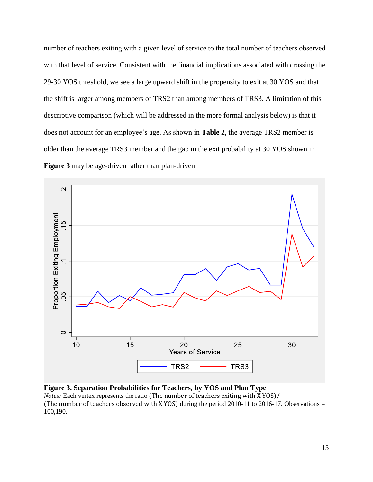number of teachers exiting with a given level of service to the total number of teachers observed with that level of service. Consistent with the financial implications associated with crossing the 29-30 YOS threshold, we see a large upward shift in the propensity to exit at 30 YOS and that the shift is larger among members of TRS2 than among members of TRS3. A limitation of this descriptive comparison (which will be addressed in the more formal analysis below) is that it does not account for an employee's age. As shown in **Table 2**, the average TRS2 member is older than the average TRS3 member and the gap in the exit probability at 30 YOS shown in **Figure 3** may be age-driven rather than plan-driven.



**Figure 3. Separation Probabilities for Teachers, by YOS and Plan Type**

*Notes:* Each vertex represents the ratio (The number of teachers exiting with X YOS)/ (The number of teachers observed with X YOS) during the period 2010-11 to 2016-17. Observations  $=$ 100,190.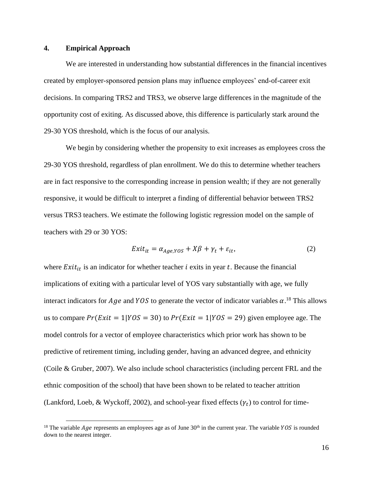#### **4. Empirical Approach**

We are interested in understanding how substantial differences in the financial incentives created by employer-sponsored pension plans may influence employees' end-of-career exit decisions. In comparing TRS2 and TRS3, we observe large differences in the magnitude of the opportunity cost of exiting. As discussed above, this difference is particularly stark around the 29-30 YOS threshold, which is the focus of our analysis.

We begin by considering whether the propensity to exit increases as employees cross the 29-30 YOS threshold, regardless of plan enrollment. We do this to determine whether teachers are in fact responsive to the corresponding increase in pension wealth; if they are not generally responsive, it would be difficult to interpret a finding of differential behavior between TRS2 versus TRS3 teachers. We estimate the following logistic regression model on the sample of teachers with 29 or 30 YOS:

$$
Exit_{it} = \alpha_{Age,YOS} + X\beta + \gamma_t + \varepsilon_{it},
$$
\n(2)

where  $Exit_{it}$  is an indicator for whether teacher *i* exits in year *t*. Because the financial implications of exiting with a particular level of YOS vary substantially with age, we fully interact indicators for *Age* and YOS to generate the vector of indicator variables  $\alpha$ .<sup>18</sup> This allows us to compare  $Pr(Exit = 1 | YOS = 30)$  to  $Pr(Exit = 1 | YOS = 29)$  given employee age. The model controls for a vector of employee characteristics which prior work has shown to be predictive of retirement timing, including gender, having an advanced degree, and ethnicity (Coile & Gruber, 2007). We also include school characteristics (including percent FRL and the ethnic composition of the school) that have been shown to be related to teacher attrition (Lankford, Loeb, & Wyckoff, 2002), and school-year fixed effects  $(\gamma_t)$  to control for time-

<sup>&</sup>lt;sup>18</sup> The variable *Age* represents an employees age as of June  $30<sup>th</sup>$  in the current year. The variable *YOS* is rounded down to the nearest integer.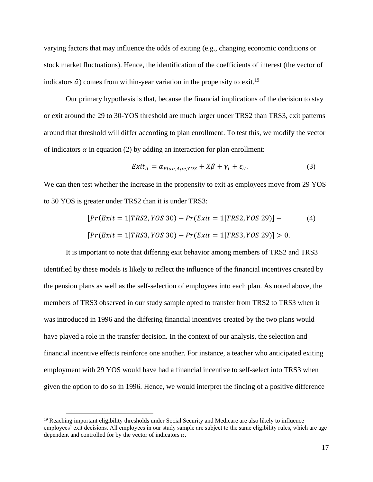varying factors that may influence the odds of exiting (e.g., changing economic conditions or stock market fluctuations). Hence, the identification of the coefficients of interest (the vector of indicators  $\hat{\alpha}$ ) comes from within-year variation in the propensity to exit.<sup>19</sup>

Our primary hypothesis is that, because the financial implications of the decision to stay or exit around the 29 to 30-YOS threshold are much larger under TRS2 than TRS3, exit patterns around that threshold will differ according to plan enrollment. To test this, we modify the vector of indicators  $\alpha$  in equation (2) by adding an interaction for plan enrollment:

$$
Exit_{it} = \alpha_{Plan, Age,YOS} + X\beta + \gamma_t + \varepsilon_{it}.
$$
\n(3)

We can then test whether the increase in the propensity to exit as employees move from 29 YOS to 30 YOS is greater under TRS2 than it is under TRS3:

$$
[Pr(Exit = 1 | TRS2, YOS 30) - Pr(Exit = 1 | TRS2, YOS 29)] - (4)
$$
  

$$
[Pr(Exit = 1 | TRS3, YOS 30) - Pr(Exit = 1 | TRS3, YOS 29)] > 0.
$$

It is important to note that differing exit behavior among members of TRS2 and TRS3 identified by these models is likely to reflect the influence of the financial incentives created by the pension plans as well as the self-selection of employees into each plan. As noted above, the members of TRS3 observed in our study sample opted to transfer from TRS2 to TRS3 when it was introduced in 1996 and the differing financial incentives created by the two plans would have played a role in the transfer decision. In the context of our analysis, the selection and financial incentive effects reinforce one another. For instance, a teacher who anticipated exiting employment with 29 YOS would have had a financial incentive to self-select into TRS3 when given the option to do so in 1996. Hence, we would interpret the finding of a positive difference

<sup>&</sup>lt;sup>19</sup> Reaching important eligibility thresholds under Social Security and Medicare are also likely to influence employees' exit decisions. All employees in our study sample are subject to the same eligibility rules, which are age dependent and controlled for by the vector of indicators  $\alpha$ .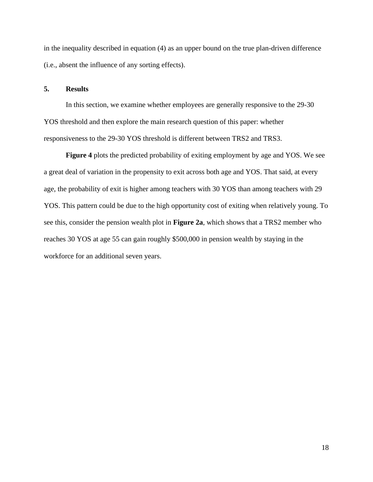in the inequality described in equation (4) as an upper bound on the true plan-driven difference (i.e., absent the influence of any sorting effects).

## **5. Results**

In this section, we examine whether employees are generally responsive to the 29-30 YOS threshold and then explore the main research question of this paper: whether responsiveness to the 29-30 YOS threshold is different between TRS2 and TRS3.

**Figure 4** plots the predicted probability of exiting employment by age and YOS. We see a great deal of variation in the propensity to exit across both age and YOS. That said, at every age, the probability of exit is higher among teachers with 30 YOS than among teachers with 29 YOS. This pattern could be due to the high opportunity cost of exiting when relatively young. To see this, consider the pension wealth plot in **Figure 2a**, which shows that a TRS2 member who reaches 30 YOS at age 55 can gain roughly \$500,000 in pension wealth by staying in the workforce for an additional seven years.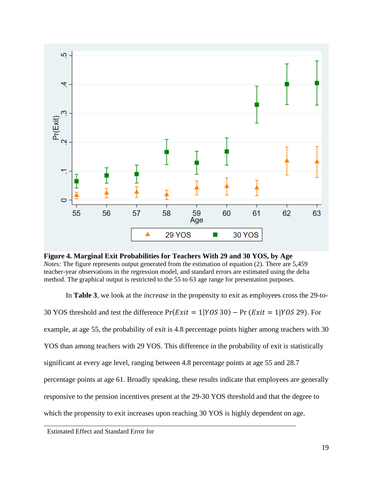

**Figure 4. Marginal Exit Probabilities for Teachers With 29 and 30 YOS, by Age** *Notes:* The figure represents output generated from the estimation of equation (2). There are 5,459 teacher-year observations in the regression model, and standard errors are estimated using the delta method. The graphical output is restricted to the 55 to 63 age range for presentation purposes.

In **Table 3**, we look at the *increase* in the propensity to exit as employees cross the 29-to-30 YOS threshold and test the difference  $Pr(Exit = 1|YOS30) - Pr(Exit = 1|YOS29)$ . For example, at age 55, the probability of exit is 4.8 percentage points higher among teachers with 30 YOS than among teachers with 29 YOS. This difference in the probability of exit is statistically significant at every age level, ranging between 4.8 percentage points at age 55 and 28.7 percentage points at age 61. Broadly speaking, these results indicate that employees are generally responsive to the pension incentives present at the 29-30 YOS threshold and that the degree to which the propensity to exit increases upon reaching 30 YOS is highly dependent on age.

Estimated Effect and Standard Error for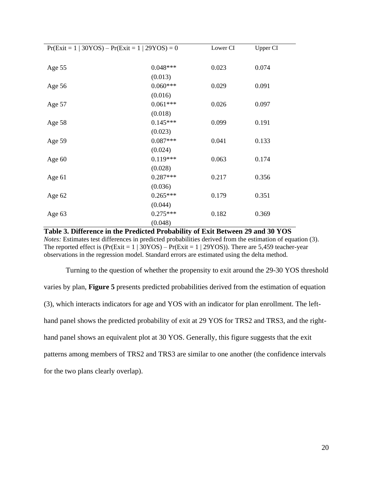| $Pr(Exit = 1   30YOS) - Pr(Exit = 1   29YOS) = 0$ |            | Lower CI | Upper CI |
|---------------------------------------------------|------------|----------|----------|
|                                                   |            |          |          |
| Age 55                                            | $0.048***$ | 0.023    | 0.074    |
|                                                   | (0.013)    |          |          |
| Age 56                                            | $0.060***$ | 0.029    | 0.091    |
|                                                   | (0.016)    |          |          |
| Age 57                                            | $0.061***$ | 0.026    | 0.097    |
|                                                   | (0.018)    |          |          |
| Age 58                                            | $0.145***$ | 0.099    | 0.191    |
|                                                   | (0.023)    |          |          |
| Age 59                                            | $0.087***$ | 0.041    | 0.133    |
|                                                   | (0.024)    |          |          |
| Age $60$                                          | $0.119***$ | 0.063    | 0.174    |
|                                                   | (0.028)    |          |          |
| Age $61$                                          | $0.287***$ | 0.217    | 0.356    |
|                                                   | (0.036)    |          |          |
| Age $62$                                          | $0.265***$ | 0.179    | 0.351    |
|                                                   | (0.044)    |          |          |
| Age $63$                                          | $0.275***$ | 0.182    | 0.369    |
|                                                   | (0.048)    |          |          |

**Table 3. Difference in the Predicted Probability of Exit Between 29 and 30 YOS** *Notes:* Estimates test differences in predicted probabilities derived from the estimation of equation (3). The reported effect is  $(\Pr(Exit = 1 | 30YOS) - \Pr(Exit = 1 | 29YOS))$ . There are 5,459 teacher-year observations in the regression model. Standard errors are estimated using the delta method.

Turning to the question of whether the propensity to exit around the 29-30 YOS threshold varies by plan, **Figure 5** presents predicted probabilities derived from the estimation of equation (3), which interacts indicators for age and YOS with an indicator for plan enrollment. The lefthand panel shows the predicted probability of exit at 29 YOS for TRS2 and TRS3, and the righthand panel shows an equivalent plot at 30 YOS. Generally, this figure suggests that the exit patterns among members of TRS2 and TRS3 are similar to one another (the confidence intervals for the two plans clearly overlap).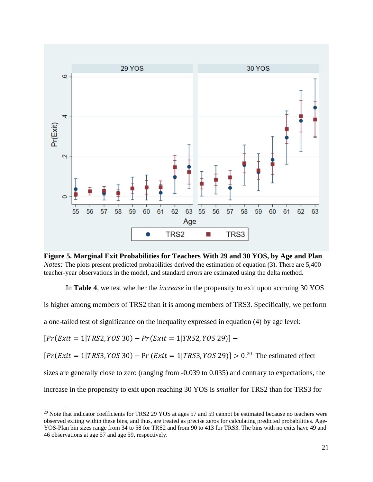

**Figure 5. Marginal Exit Probabilities for Teachers With 29 and 30 YOS, by Age and Plan** *Notes:* The plots present predicted probabilities derived the estimation of equation (3). There are 5,400 teacher-year observations in the model, and standard errors are estimated using the delta method.

In **Table 4**, we test whether the *increase* in the propensity to exit upon accruing 30 YOS

is higher among members of TRS2 than it is among members of TRS3. Specifically, we perform

a one-tailed test of significance on the inequality expressed in equation (4) by age level:

 $[Pr(Exit = 1 | TRS2, YOS 30) - Pr(Exit = 1 | TRS2, YOS 29)] -$ 

 $[Pr(Exit = 1 | TRS3, YOS 30) - Pr(Exit = 1 | TRS3, YOS 29)] > 0.^{20}$  The estimated effect

sizes are generally close to zero (ranging from  $-0.039$  to 0.035) and contrary to expectations, the

increase in the propensity to exit upon reaching 30 YOS is *smaller* for TRS2 than for TRS3 for

<sup>&</sup>lt;sup>20</sup> Note that indicator coefficients for TRS2 29 YOS at ages 57 and 59 cannot be estimated because no teachers were observed exiting within these bins, and thus, are treated as precise zeros for calculating predicted probabilities. Age-YOS-Plan bin sizes range from 34 to 58 for TRS2 and from 90 to 413 for TRS3. The bins with no exits have 49 and 46 observations at age 57 and age 59, respectively.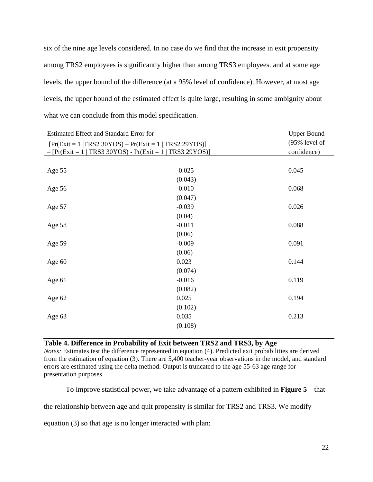six of the nine age levels considered. In no case do we find that the increase in exit propensity among TRS2 employees is significantly higher than among TRS3 employees. and at some age levels, the upper bound of the difference (at a 95% level of confidence). However, at most age levels, the upper bound of the estimated effect is quite large, resulting in some ambiguity about what we can conclude from this model specification.

| Estimated Effect and Standard Error for                                                                                 | <b>Upper Bound</b> |                                 |
|-------------------------------------------------------------------------------------------------------------------------|--------------------|---------------------------------|
| $[Pr(Exit = 1   TRS2 30YOS) - Pr(Exit = 1   TRS2 29YOS)]$<br>$-[Pr(Exit = 1   TRS3 30YOS) - Pr(Exit = 1   TRS3 29YOS)]$ |                    | $(95\%$ level of<br>confidence) |
|                                                                                                                         |                    |                                 |
| Age 55                                                                                                                  | $-0.025$           | 0.045                           |
|                                                                                                                         | (0.043)            |                                 |
| Age 56                                                                                                                  | $-0.010$           | 0.068                           |
|                                                                                                                         | (0.047)            |                                 |
| Age 57                                                                                                                  | $-0.039$           | 0.026                           |
|                                                                                                                         | (0.04)             |                                 |
| Age 58                                                                                                                  | $-0.011$           | 0.088                           |
|                                                                                                                         | (0.06)             |                                 |
| Age 59                                                                                                                  | $-0.009$           | 0.091                           |
|                                                                                                                         | (0.06)             |                                 |
| Age $60$                                                                                                                | 0.023              | 0.144                           |
|                                                                                                                         | (0.074)            |                                 |
| Age 61                                                                                                                  | $-0.016$           | 0.119                           |
|                                                                                                                         | (0.082)            |                                 |
| Age 62                                                                                                                  | 0.025              | 0.194                           |
|                                                                                                                         | (0.102)            |                                 |
| Age 63                                                                                                                  | 0.035              | 0.213                           |
|                                                                                                                         | (0.108)            |                                 |
|                                                                                                                         |                    |                                 |

## **Table 4. Difference in Probability of Exit between TRS2 and TRS3, by Age**

*Notes:* Estimates test the difference represented in equation (4). Predicted exit probabilities are derived from the estimation of equation (3). There are 5,400 teacher-year observations in the model, and standard errors are estimated using the delta method. Output is truncated to the age 55-63 age range for presentation purposes.

To improve statistical power, we take advantage of a pattern exhibited in **Figure 5** – that

the relationship between age and quit propensity is similar for TRS2 and TRS3. We modify

equation (3) so that age is no longer interacted with plan: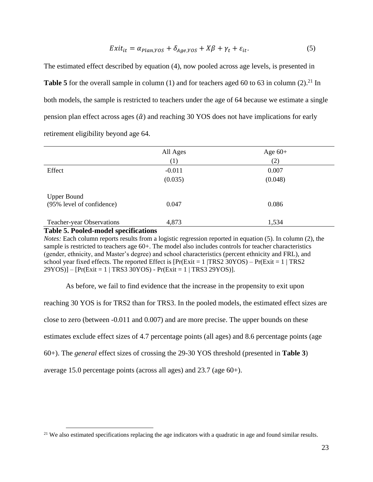$$
Exit_{it} = \alpha_{Plan,YOS} + \delta_{Age,YOS} + X\beta + \gamma_t + \varepsilon_{it}.
$$
\n<sup>(5)</sup>

The estimated effect described by equation (4), now pooled across age levels, is presented in Table 5 for the overall sample in column (1) and for teachers aged 60 to 63 in column (2).<sup>21</sup> In both models, the sample is restricted to teachers under the age of 64 because we estimate a single pension plan effect across ages  $(\hat{\alpha})$  and reaching 30 YOS does not have implications for early retirement eligibility beyond age 64.

|                                                 | All Ages | Age $60+$ |  |
|-------------------------------------------------|----------|-----------|--|
|                                                 | (1)      | (2)       |  |
| Effect                                          | $-0.011$ | 0.007     |  |
|                                                 | (0.035)  | (0.048)   |  |
| <b>Upper Bound</b><br>(95% level of confidence) | 0.047    | 0.086     |  |
| <b>Teacher-year Observations</b>                | 4,873    | 1,534     |  |

**Table 5. Pooled-model specifications**

*Notes:* Each column reports results from a logistic regression reported in equation (5). In column (2), the sample is restricted to teachers age 60+. The model also includes controls for teacher characteristics (gender, ethnicity, and Master's degree) and school characteristics (percent ethnicity and FRL), and school year fixed effects. The reported Effect is  $[Pr(Exit = 1 | TRS2 30YOS) - Pr(Exit = 1 | TRS2 30YOS)]$ 29YOS)] – [Pr(Exit = 1 | TRS3 30YOS) - Pr(Exit = 1 | TRS3 29YOS)].

As before, we fail to find evidence that the increase in the propensity to exit upon

reaching 30 YOS is for TRS2 than for TRS3. In the pooled models, the estimated effect sizes are close to zero (between -0.011 and 0.007) and are more precise. The upper bounds on these estimates exclude effect sizes of 4.7 percentage points (all ages) and 8.6 percentage points (age 60+). The *general* effect sizes of crossing the 29-30 YOS threshold (presented in **Table 3**) average 15.0 percentage points (across all ages) and 23.7 (age 60+).

<sup>&</sup>lt;sup>21</sup> We also estimated specifications replacing the age indicators with a quadratic in age and found similar results.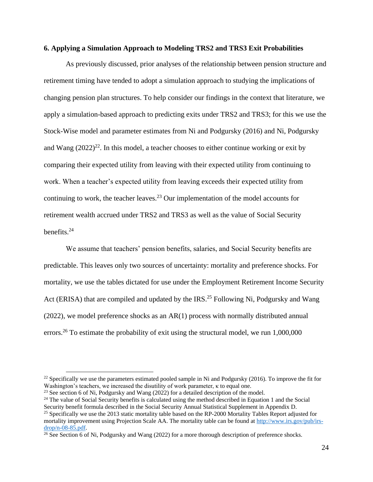#### **6. Applying a Simulation Approach to Modeling TRS2 and TRS3 Exit Probabilities**

As previously discussed, prior analyses of the relationship between pension structure and retirement timing have tended to adopt a simulation approach to studying the implications of changing pension plan structures. To help consider our findings in the context that literature, we apply a simulation-based approach to predicting exits under TRS2 and TRS3; for this we use the Stock-Wise model and parameter estimates from Ni and Podgursky (2016) and Ni, Podgursky and Wang  $(2022)^{22}$ . In this model, a teacher chooses to either continue working or exit by comparing their expected utility from leaving with their expected utility from continuing to work. When a teacher's expected utility from leaving exceeds their expected utility from continuing to work, the teacher leaves.<sup>23</sup> Our implementation of the model accounts for retirement wealth accrued under TRS2 and TRS3 as well as the value of Social Security benefits. 24

We assume that teachers' pension benefits, salaries, and Social Security benefits are predictable. This leaves only two sources of uncertainty: mortality and preference shocks. For mortality, we use the tables dictated for use under the Employment Retirement Income Security Act (ERISA) that are compiled and updated by the IRS.<sup>25</sup> Following Ni, Podgursky and Wang (2022), we model preference shocks as an AR(1) process with normally distributed annual errors.<sup>26</sup> To estimate the probability of exit using the structural model, we run  $1,000,000$ 

<sup>&</sup>lt;sup>22</sup> Specifically we use the parameters estimated pooled sample in Ni and Podgursky (2016). To improve the fit for Washington's teachers, we increased the disutility of work parameter, κ to equal one.

 $23$  See section 6 of Ni, Podgursky and Wang (2022) for a detailed description of the model.

 $24$  The value of Social Security benefits is calculated using the method described in Equation 1 and the Social Security benefit formula described in the Social Security Annual Statistical Supplement in Appendix D.

<sup>&</sup>lt;sup>25</sup> Specifically we use the 2013 static mortality table based on the RP-2000 Mortality Tables Report adjusted for mortality improvement using Projection Scale AA. The mortality table can be found at [http://www.irs.gov/pub/irs](http://www.irs.gov/pub/irs-drop/n-08-85.pdf)[drop/n-08-85.pdf.](http://www.irs.gov/pub/irs-drop/n-08-85.pdf)

<sup>&</sup>lt;sup>26</sup> See Section 6 of Ni, Podgursky and Wang (2022) for a more thorough description of preference shocks.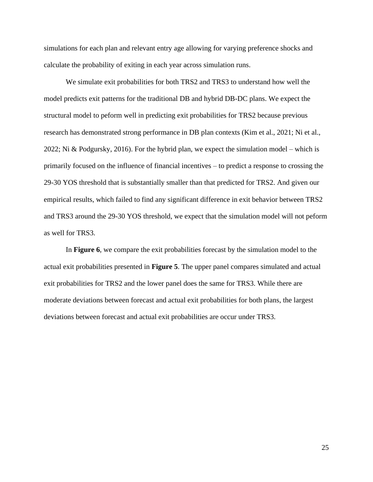simulations for each plan and relevant entry age allowing for varying preference shocks and calculate the probability of exiting in each year across simulation runs.

We simulate exit probabilities for both TRS2 and TRS3 to understand how well the model predicts exit patterns for the traditional DB and hybrid DB-DC plans. We expect the structural model to peform well in predicting exit probabilities for TRS2 because previous research has demonstrated strong performance in DB plan contexts (Kim et al., 2021; Ni et al., 2022; Ni & Podgursky, 2016). For the hybrid plan, we expect the simulation model – which is primarily focused on the influence of financial incentives – to predict a response to crossing the 29-30 YOS threshold that is substantially smaller than that predicted for TRS2. And given our empirical results, which failed to find any significant difference in exit behavior between TRS2 and TRS3 around the 29-30 YOS threshold, we expect that the simulation model will not peform as well for TRS3.

In **Figure 6**, we compare the exit probabilities forecast by the simulation model to the actual exit probabilities presented in **Figure 5**. The upper panel compares simulated and actual exit probabilities for TRS2 and the lower panel does the same for TRS3. While there are moderate deviations between forecast and actual exit probabilities for both plans, the largest deviations between forecast and actual exit probabilities are occur under TRS3.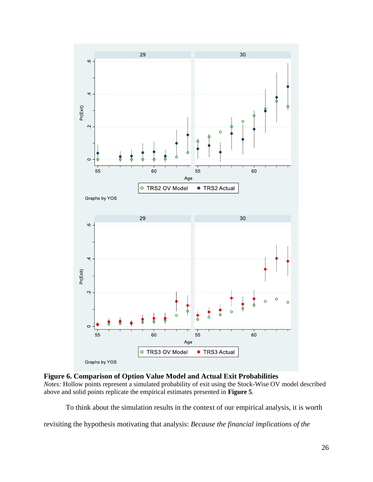

**Figure 6. Comparison of Option Value Model and Actual Exit Probabilities**

*Notes:* Hollow points represent a simulated probability of exit using the Stock-Wise OV model described above and solid points replicate the empirical estimates presented in **Figure 5**.

To think about the simulation results in the context of our empirical analysis, it is worth

revisiting the hypothesis motivating that analysis: *Because the financial implications of the*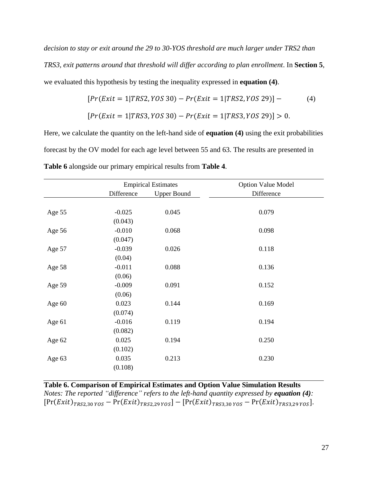*decision to stay or exit around the 29 to 30-YOS threshold are much larger under TRS2 than TRS3, exit patterns around that threshold will differ according to plan enrollment*. In **Section 5**, we evaluated this hypothesis by testing the inequality expressed in **equation (4)**.

$$
[Pr(Exit = 1 | TRS2, YOS 30) - Pr(Exit = 1 | TRS2, YOS 29)] -
$$
  

$$
[Pr(Exit = 1 | TRS3, YOS 30) - Pr(Exit = 1 | TRS3, YOS 29)] > 0.
$$

Here, we calculate the quantity on the left-hand side of **equation (4)** using the exit probabilities forecast by the OV model for each age level between 55 and 63. The results are presented in **Table 6** alongside our primary empirical results from **Table 4**.

| <b>Empirical Estimates</b> |                    | <b>Option Value Model</b> |
|----------------------------|--------------------|---------------------------|
| Difference                 | <b>Upper Bound</b> | Difference                |
|                            |                    |                           |
| $-0.025$                   | 0.045              | 0.079                     |
| (0.043)                    |                    |                           |
| $-0.010$                   | 0.068              | 0.098                     |
| (0.047)                    |                    |                           |
| $-0.039$                   | 0.026              | 0.118                     |
| (0.04)                     |                    |                           |
| $-0.011$                   | 0.088              | 0.136                     |
| (0.06)                     |                    |                           |
| $-0.009$                   | 0.091              | 0.152                     |
| (0.06)                     |                    |                           |
| 0.023                      | 0.144              | 0.169                     |
| (0.074)                    |                    |                           |
| $-0.016$                   | 0.119              | 0.194                     |
| (0.082)                    |                    |                           |
| 0.025                      | 0.194              | 0.250                     |
| (0.102)                    |                    |                           |
| 0.035                      | 0.213              | 0.230                     |
| (0.108)                    |                    |                           |
|                            |                    |                           |

**Table 6. Comparison of Empirical Estimates and Option Value Simulation Results** *Notes: The reported "difference" refers to the left-hand quantity expressed by equation (4):*   $[Pr(Exit)_{TRS2,30\,YOS} - Pr(Exit)_{TRS2,29\,YOS}] - [Pr(Exit)_{TRS3,30\,YOS} - Pr(Exit)_{TRS3,29\,YOS}].$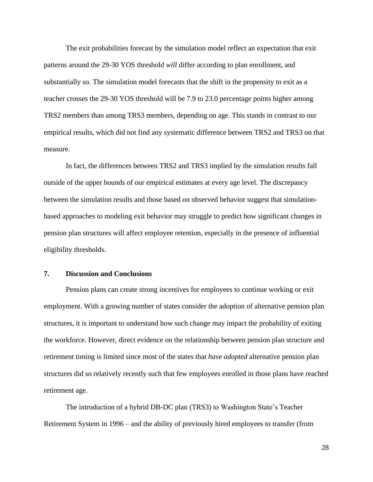The exit probabilities forecast by the simulation model reflect an expectation that exit patterns around the 29-30 YOS threshold *will* differ according to plan enrollment, and substantially so. The simulation model forecasts that the shift in the propensity to exit as a teacher crosses the 29-30 YOS threshold will be 7.9 to 23.0 percentage points higher among TRS2 members than among TRS3 members, depending on age. This stands in contrast to our empirical results, which did not find any systematic difference between TRS2 and TRS3 on that measure.

In fact, the differences between TRS2 and TRS3 implied by the simulation results fall outside of the upper bounds of our empirical estimates at every age level. The discrepancy between the simulation results and those based on observed behavior suggest that simulationbased approaches to modeling exit behavior may struggle to predict how significant changes in pension plan structures will affect employee retention, especially in the presence of influential eligibility thresholds.

#### **7. Discussion and Conclusions**

Pension plans can create strong incentives for employees to continue working or exit employment. With a growing number of states consider the adoption of alternative pension plan structures, it is important to understand how such change may impact the probability of exiting the workforce. However, direct evidence on the relationship between pension plan structure and retirement timing is limited since most of the states that *have adopted* alternative pension plan structures did so relatively recently such that few employees enrolled in those plans have reached retirement age.

The introduction of a hybrid DB-DC plan (TRS3) to Washington State's Teacher Retirement System in 1996 – and the ability of previously hired employees to transfer (from

28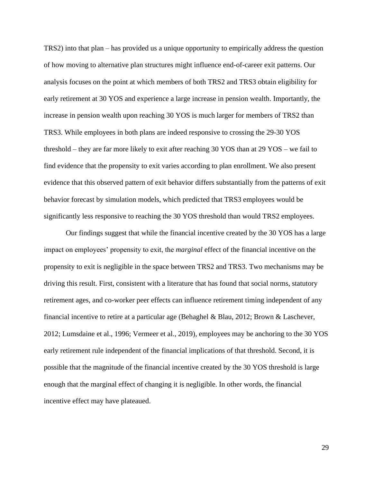TRS2) into that plan – has provided us a unique opportunity to empirically address the question of how moving to alternative plan structures might influence end-of-career exit patterns. Our analysis focuses on the point at which members of both TRS2 and TRS3 obtain eligibility for early retirement at 30 YOS and experience a large increase in pension wealth. Importantly, the increase in pension wealth upon reaching 30 YOS is much larger for members of TRS2 than TRS3. While employees in both plans are indeed responsive to crossing the 29-30 YOS threshold – they are far more likely to exit after reaching 30 YOS than at 29 YOS – we fail to find evidence that the propensity to exit varies according to plan enrollment. We also present evidence that this observed pattern of exit behavior differs substantially from the patterns of exit behavior forecast by simulation models, which predicted that TRS3 employees would be significantly less responsive to reaching the 30 YOS threshold than would TRS2 employees.

Our findings suggest that while the financial incentive created by the 30 YOS has a large impact on employees' propensity to exit, the *marginal* effect of the financial incentive on the propensity to exit is negligible in the space between TRS2 and TRS3. Two mechanisms may be driving this result. First, consistent with a literature that has found that social norms, statutory retirement ages, and co-worker peer effects can influence retirement timing independent of any financial incentive to retire at a particular age (Behaghel & Blau, 2012; Brown & Laschever, 2012; Lumsdaine et al., 1996; Vermeer et al., 2019), employees may be anchoring to the 30 YOS early retirement rule independent of the financial implications of that threshold. Second, it is possible that the magnitude of the financial incentive created by the 30 YOS threshold is large enough that the marginal effect of changing it is negligible. In other words, the financial incentive effect may have plateaued.

29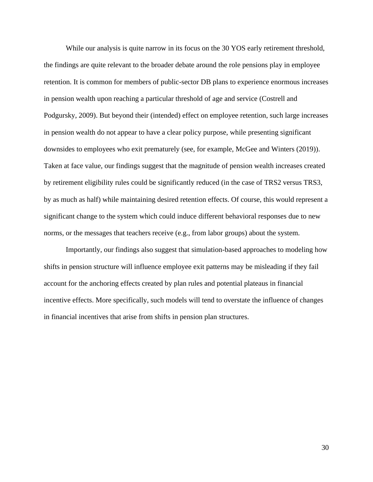While our analysis is quite narrow in its focus on the 30 YOS early retirement threshold, the findings are quite relevant to the broader debate around the role pensions play in employee retention. It is common for members of public-sector DB plans to experience enormous increases in pension wealth upon reaching a particular threshold of age and service (Costrell and Podgursky, 2009). But beyond their (intended) effect on employee retention, such large increases in pension wealth do not appear to have a clear policy purpose, while presenting significant downsides to employees who exit prematurely (see, for example, McGee and Winters (2019)). Taken at face value, our findings suggest that the magnitude of pension wealth increases created by retirement eligibility rules could be significantly reduced (in the case of TRS2 versus TRS3, by as much as half) while maintaining desired retention effects. Of course, this would represent a significant change to the system which could induce different behavioral responses due to new norms, or the messages that teachers receive (e.g., from labor groups) about the system.

Importantly, our findings also suggest that simulation-based approaches to modeling how shifts in pension structure will influence employee exit patterns may be misleading if they fail account for the anchoring effects created by plan rules and potential plateaus in financial incentive effects. More specifically, such models will tend to overstate the influence of changes in financial incentives that arise from shifts in pension plan structures.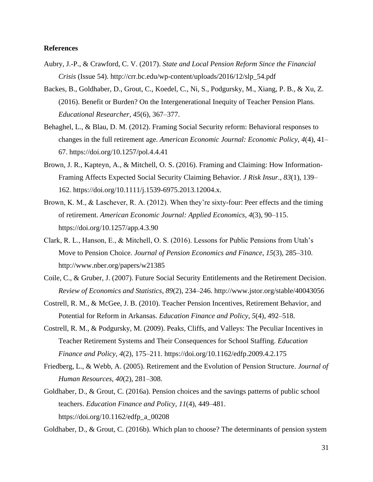#### **References**

- Aubry, J.-P., & Crawford, C. V. (2017). *State and Local Pension Reform Since the Financial Crisis* (Issue 54). http://crr.bc.edu/wp-content/uploads/2016/12/slp\_54.pdf
- Backes, B., Goldhaber, D., Grout, C., Koedel, C., Ni, S., Podgursky, M., Xiang, P. B., & Xu, Z. (2016). Benefit or Burden? On the Intergenerational Inequity of Teacher Pension Plans. *Educational Researcher*, *45*(6), 367–377.
- Behaghel, L., & Blau, D. M. (2012). Framing Social Security reform: Behavioral responses to changes in the full retirement age. *American Economic Journal: Economic Policy*, *4*(4), 41– 67. https://doi.org/10.1257/pol.4.4.41
- Brown, J. R., Kapteyn, A., & Mitchell, O. S. (2016). Framing and Claiming: How Information-Framing Affects Expected Social Security Claiming Behavior. *J Risk Insur.*, *83*(1), 139– 162. https://doi.org/10.1111/j.1539-6975.2013.12004.x.
- Brown, K. M., & Laschever, R. A. (2012). When they're sixty-four: Peer effects and the timing of retirement. *American Economic Journal: Applied Economics*, *4*(3), 90–115. https://doi.org/10.1257/app.4.3.90
- Clark, R. L., Hanson, E., & Mitchell, O. S. (2016). Lessons for Public Pensions from Utah's Move to Pension Choice. *Journal of Pension Economics and Finance*, *15*(3), 285–310. http://www.nber.org/papers/w21385
- Coile, C., & Gruber, J. (2007). Future Social Security Entitlements and the Retirement Decision. *Review of Economics and Statistics*, *89*(2), 234–246. http://www.jstor.org/stable/40043056
- Costrell, R. M., & McGee, J. B. (2010). Teacher Pension Incentives, Retirement Behavior, and Potential for Reform in Arkansas. *Education Finance and Policy*, *5*(4), 492–518.
- Costrell, R. M., & Podgursky, M. (2009). Peaks, Cliffs, and Valleys: The Peculiar Incentives in Teacher Retirement Systems and Their Consequences for School Staffing. *Education Finance and Policy*, *4*(2), 175–211. https://doi.org/10.1162/edfp.2009.4.2.175
- Friedberg, L., & Webb, A. (2005). Retirement and the Evolution of Pension Structure. *Journal of Human Resources*, *40*(2), 281–308.
- Goldhaber, D., & Grout, C. (2016a). Pension choices and the savings patterns of public school teachers. *Education Finance and Policy*, *11*(4), 449–481. https://doi.org/10.1162/edfp\_a\_00208

Goldhaber, D., & Grout, C. (2016b). Which plan to choose? The determinants of pension system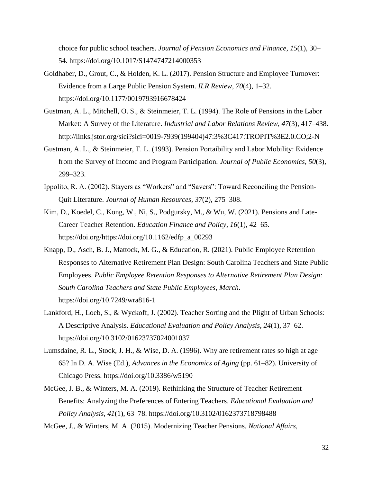choice for public school teachers. *Journal of Pension Economics and Finance*, *15*(1), 30– 54. https://doi.org/10.1017/S1474747214000353

- Goldhaber, D., Grout, C., & Holden, K. L. (2017). Pension Structure and Employee Turnover: Evidence from a Large Public Pension System. *ILR Review*, *70*(4), 1–32. https://doi.org/10.1177/0019793916678424
- Gustman, A. L., Mitchell, O. S., & Steinmeier, T. L. (1994). The Role of Pensions in the Labor Market: A Survey of the Literature. *Industrial and Labor Relations Review*, *47*(3), 417–438. http://links.jstor.org/sici?sici=0019-7939(199404)47:3%3C417:TROPIT%3E2.0.CO;2-N
- Gustman, A. L., & Steinmeier, T. L. (1993). Pension Portaibility and Labor Mobility: Evidence from the Survey of Income and Program Participation. *Journal of Public Economics*, *50*(3), 299–323.
- Ippolito, R. A. (2002). Stayers as "Workers" and "Savers": Toward Reconciling the Pension-Quit Literature. *Journal of Human Resources*, *37*(2), 275–308.
- Kim, D., Koedel, C., Kong, W., Ni, S., Podgursky, M., & Wu, W. (2021). Pensions and Late-Career Teacher Retention. *Education Finance and Policy*, *16*(1), 42–65. https://doi.org/https://doi.org/10.1162/edfp\_a\_00293
- Knapp, D., Asch, B. J., Mattock, M. G., & Education, R. (2021). Public Employee Retention Responses to Alternative Retirement Plan Design: South Carolina Teachers and State Public Employees. *Public Employee Retention Responses to Alternative Retirement Plan Design: South Carolina Teachers and State Public Employees*, *March*. https://doi.org/10.7249/wra816-1
- Lankford, H., Loeb, S., & Wyckoff, J. (2002). Teacher Sorting and the Plight of Urban Schools: A Descriptive Analysis. *Educational Evaluation and Policy Analysis*, *24*(1), 37–62. https://doi.org/10.3102/01623737024001037
- Lumsdaine, R. L., Stock, J. H., & Wise, D. A. (1996). Why are retirement rates so high at age 65? In D. A. Wise (Ed.), *Advances in the Economics of Aging* (pp. 61–82). University of Chicago Press. https://doi.org/10.3386/w5190
- McGee, J. B., & Winters, M. A. (2019). Rethinking the Structure of Teacher Retirement Benefits: Analyzing the Preferences of Entering Teachers. *Educational Evaluation and Policy Analysis*, *41*(1), 63–78. https://doi.org/10.3102/0162373718798488

McGee, J., & Winters, M. A. (2015). Modernizing Teacher Pensions. *National Affairs*,